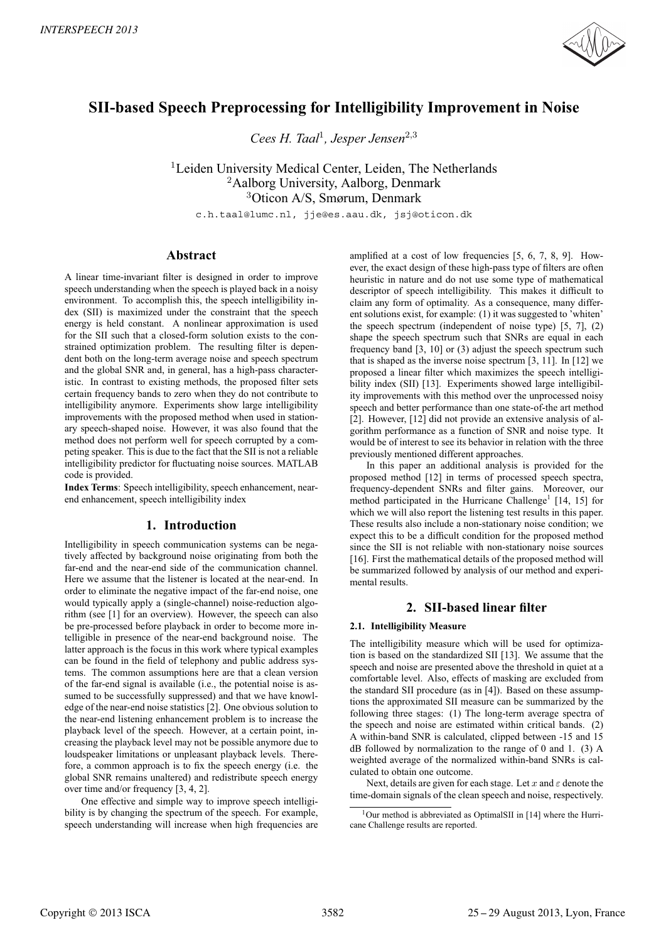

# **SII-based Speech Preprocessing for Intelligibility Improvement in Noise**

*Cees H. Taal*<sup>1</sup>*, Jesper Jensen*<sup>2</sup>,<sup>3</sup>

<sup>1</sup>Leiden University Medical Center, Leiden, The Netherlands <sup>2</sup>Aalborg University, Aalborg, Denmark <sup>3</sup>Oticon A/S, Smørum, Denmark

c.h.taal@lumc.nl, jje@es.aau.dk, jsj@oticon.dk

## **Abstract**

A linear time-invariant filter is designed in order to improve speech understanding when the speech is played back in a noisy environment. To accomplish this, the speech intelligibility index (SII) is maximized under the constraint that the speech energy is held constant. A nonlinear approximation is used for the SII such that a closed-form solution exists to the constrained optimization problem. The resulting filter is dependent both on the long-term average noise and speech spectrum and the global SNR and, in general, has a high-pass characteristic. In contrast to existing methods, the proposed filter sets certain frequency bands to zero when they do not contribute to intelligibility anymore. Experiments show large intelligibility improvements with the proposed method when used in stationary speech-shaped noise. However, it was also found that the method does not perform well for speech corrupted by a competing speaker. This is due to the fact that the SII is not a reliable intelligibility predictor for fluctuating noise sources. MATLAB code is provided.

**Index Terms**: Speech intelligibility, speech enhancement, nearend enhancement, speech intelligibility index

## **1. Introduction**

Intelligibility in speech communication systems can be negatively affected by background noise originating from both the far-end and the near-end side of the communication channel. Here we assume that the listener is located at the near-end. In order to eliminate the negative impact of the far-end noise, one would typically apply a (single-channel) noise-reduction algorithm (see [1] for an overview). However, the speech can also be pre-processed before playback in order to become more intelligible in presence of the near-end background noise. The latter approach is the focus in this work where typical examples can be found in the field of telephony and public address systems. The common assumptions here are that a clean version of the far-end signal is available (i.e., the potential noise is assumed to be successfully suppressed) and that we have knowledge of the near-end noise statistics [2]. One obvious solution to the near-end listening enhancement problem is to increase the playback level of the speech. However, at a certain point, increasing the playback level may not be possible anymore due to loudspeaker limitations or unpleasant playback levels. Therefore, a common approach is to fix the speech energy (i.e. the global SNR remains unaltered) and redistribute speech energy over time and/or frequency [3, 4, 2].

One effective and simple way to improve speech intelligibility is by changing the spectrum of the speech. For example, speech understanding will increase when high frequencies are amplified at a cost of low frequencies [5, 6, 7, 8, 9]. However, the exact design of these high-pass type of filters are often heuristic in nature and do not use some type of mathematical descriptor of speech intelligibility. This makes it difficult to claim any form of optimality. As a consequence, many different solutions exist, for example: (1) it was suggested to 'whiten' the speech spectrum (independent of noise type) [5, 7], (2) shape the speech spectrum such that SNRs are equal in each frequency band [3, 10] or (3) adjust the speech spectrum such that is shaped as the inverse noise spectrum [3, 11]. In [12] we proposed a linear filter which maximizes the speech intelligibility index (SII) [13]. Experiments showed large intelligibility improvements with this method over the unprocessed noisy speech and better performance than one state-of-the art method [2]. However, [12] did not provide an extensive analysis of algorithm performance as a function of SNR and noise type. It would be of interest to see its behavior in relation with the three previously mentioned different approaches.

In this paper an additional analysis is provided for the proposed method [12] in terms of processed speech spectra, frequency-dependent SNRs and filter gains. Moreover, our method participated in the Hurricane Challenge<sup>1</sup> [14, 15] for which we will also report the listening test results in this paper. These results also include a non-stationary noise condition; we expect this to be a difficult condition for the proposed method since the SII is not reliable with non-stationary noise sources [16]. First the mathematical details of the proposed method will be summarized followed by analysis of our method and experimental results.

# **2. SII-based linear filter**

### **2.1. Intelligibility Measure**

The intelligibility measure which will be used for optimization is based on the standardized SII [13]. We assume that the speech and noise are presented above the threshold in quiet at a comfortable level. Also, effects of masking are excluded from the standard SII procedure (as in [4]). Based on these assumptions the approximated SII measure can be summarized by the following three stages: (1) The long-term average spectra of the speech and noise are estimated within critical bands. (2) A within-band SNR is calculated, clipped between -15 and 15 dB followed by normalization to the range of 0 and 1. (3) A weighted average of the normalized within-band SNRs is calculated to obtain one outcome.

Next, details are given for each stage. Let x and  $\varepsilon$  denote the time-domain signals of the clean speech and noise, respectively.

 $1$ Our method is abbreviated as OptimalSII in [14] where the Hurricane Challenge results are reported.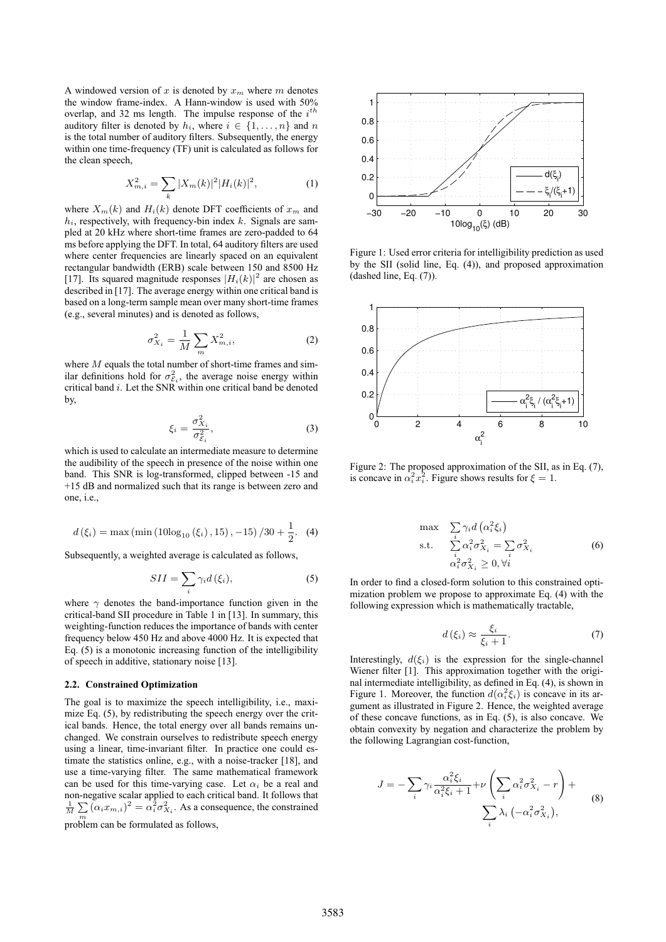A windowed version of x is denoted by  $x_m$  where m denotes the window frame-index. A Hann-window is used with 50% overlap, and 32 ms length. The impulse response of the  $i^{th}$ auditory filter is denoted by  $h_i$ , where  $i \in \{1, \ldots, n\}$  and n is the total number of auditory filters. Subsequently, the energy within one time-frequency (TF) unit is calculated as follows for the clean speech,

$$
X_{m,i}^{2} = \sum_{k} |X_{m}(k)|^{2} |H_{i}(k)|^{2}, \qquad (1)
$$

where  $X_m(k)$  and  $H_i(k)$  denote DFT coefficients of  $x_m$  and  $h_i$ , respectively, with frequency-bin index  $k$ . Signals are sampled at 20 kHz where short-time frames are zero-padded to 64 ms before applying the DFT. In total, 64 auditory filters are used where center frequencies are linearly spaced on an equivalent rectangular bandwidth (ERB) scale between 150 and 8500 Hz [17]. Its squared magnitude responses  $|H_i(k)|^2$  are chosen as described in [17]. The average energy within one critical band is described in [17]. The average energy within one critical band is based on a long-term sample mean over many short-time frames (e.g., several minutes) and is denoted as follows,

$$
\sigma_{X_i}^2 = \frac{1}{M} \sum_{m} X_{m,i}^2,
$$
\n(2)

where  $M$  equals the total number of short-time frames and similar definitions hold for  $\sigma_{\varepsilon_i}^2$ , the average noise energy within critical band i. Let the SNR within one critical band be denoted by,

$$
\xi_i = \frac{\sigma_{X_i}^2}{\sigma_{\mathcal{E}_i}^2},\tag{3}
$$

which is used to calculate an intermediate measure to determine the audibility of the speech in presence of the noise within one band. This SNR is log-transformed, clipped between -15 and +15 dB and normalized such that its range is between zero and one, i.e.,

$$
d(\xi_i) = \max\left(\min\left(10\log_{10}\left(\xi_i\right), 15\right), -15\right)/30 + \frac{1}{2}.\tag{4}
$$

2 Subsequently, a weighted average is calculated as follows,

$$
SII = \sum_{i} \gamma_i d(\xi_i), \qquad (5)
$$

where  $\gamma$  denotes the band-importance function given in the critical-band SII procedure in Table 1 in [13]. In summary, this weighting-function reduces the importance of bands with center frequency below 450 Hz and above 4000 Hz. It is expected that Eq. (5) is a monotonic increasing function of the intelligibility of speech in additive, stationary noise [13].

#### **2.2. Constrained Optimization**

The goal is to maximize the speech intelligibility, i.e., maximize Eq. (5), by redistributing the speech energy over the critical bands. Hence, the total energy over all bands remains unchanged. We constrain ourselves to redistribute speech energy using a linear, time-invariant filter. In practice one could estimate the statistics online, e.g., with a noise-tracker [18], and use a time-varying filter. The same mathematical framework can be used for this time-varying case. Let  $\alpha_i$  be a real and non-negative scalar applied to each critical band. It follows that  $\frac{1}{M} \sum_{m} (\alpha_i x_{m,i})^2 = \alpha_i^2 \sigma_{X_i}^2$ . As a consequence, the constrained problem can be formulated as follows,



Figure 1: Used error criteria for intelligibility prediction as used by the SII (solid line, Eq. (4)), and proposed approximation (dashed line, Eq. (7)).



Figure 2: The proposed approximation of the SII, as in Eq. (7), is concave in  $\alpha_i^2 x_i^2$ . Figure shows results for  $\xi = 1$ .

$$
\max \sum_{i} \gamma_i d\left(\alpha_i^2 \xi_i\right)
$$
\n
$$
\text{s.t.} \quad \sum_{i} \alpha_i^2 \sigma_{X_i}^2 = \sum_{i} \sigma_{X_i}^2
$$
\n
$$
\alpha_i^2 \sigma_{X_i}^2 \ge 0, \forall i
$$
\n
$$
(6)
$$

In order to find a closed-form solution to this constrained optimization problem we propose to approximate Eq. (4) with the following expression which is mathematically tractable,

$$
d(\xi_i) \approx \frac{\xi_i}{\xi_i + 1}.\tag{7}
$$

Interestingly,  $d(\xi_i)$  is the expression for the single-channel Wiener filter [1]. This approximation together with the original intermediate intelligibility, as defined in Eq. (4), is shown in Figure 1. Moreover, the function  $d(\alpha_i^2 \xi_i)$  is concave in its ar-<br>gument as illustrated in Figure 2. Hence, the weighted average gument as illustrated in Figure 2. Hence, the weighted average of these concave functions, as in Eq. (5), is also concave. We obtain convexity by negation and characterize the problem by the following Lagrangian cost-function,

$$
J = -\sum_{i} \gamma_i \frac{\alpha_i^2 \xi_i}{\alpha_i^2 \xi_i + 1} + \nu \left( \sum_{i} \alpha_i^2 \sigma_{X_i}^2 - r \right) + \sum_{i} \lambda_i \left( -\alpha_i^2 \sigma_{X_i}^2 \right), \tag{8}
$$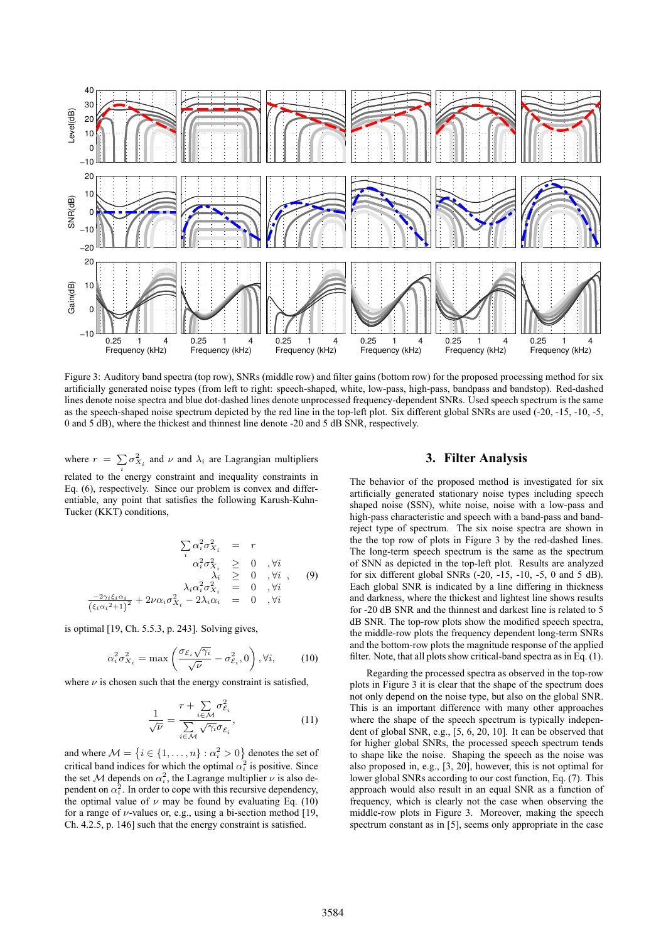

Figure 3: Auditory band spectra (top row), SNRs (middle row) and filter gains (bottom row) for the proposed processing method for six artificially generated noise types (from left to right: speech-shaped, white, low-pass, high-pass, bandpass and bandstop). Red-dashed lines denote noise spectra and blue dot-dashed lines denote unprocessed frequency-dependent SNRs. Used speech spectrum is the same as the speech-shaped noise spectrum depicted by the red line in the top-left plot. Six different global SNRs are used (-20, -15, -10, -5, 0 and 5 dB), where the thickest and thinnest line denote -20 and 5 dB SNR, respectively.

where  $r = \sum_{i}$  $\sigma_{X_i}^2$  and  $\nu$  and  $\lambda_i$  are Lagrangian multipliers related to the energy constraint and inequality constraints in Eq. (6), respectively. Since our problem is convex and differentiable, any point that satisfies the following Karush-Kuhn-Tucker (KKT) conditions,

$$
\sum_{i} \alpha_i^2 \sigma_{X_i}^2 = r
$$
\n
$$
\alpha_i^2 \sigma_{X_i}^2 \geq 0, \forall i
$$
\n
$$
\lambda_i \geq 0, \forall i
$$
\n
$$
\lambda_i \geq 0, \forall i
$$
\n
$$
\lambda_i \alpha_i^2 \sigma_{X_i}^2 = 0, \forall i
$$
\n
$$
\frac{-2\gamma_i \xi_i \alpha_i}{\xi_i \alpha_i^2 + 1} + 2\nu \alpha_i \sigma_{X_i}^2 - 2\lambda_i \alpha_i = 0, \forall i
$$

is optimal [19, Ch. 5.5.3, p. 243]. Solving gives,

 $\overline{(\xi)}$ 

$$
\alpha_i^2 \sigma_{X_i}^2 = \max\left(\frac{\sigma_{\mathcal{E}_i} \sqrt{\gamma_i}}{\sqrt{\nu}} - \sigma_{\mathcal{E}_i}^2, 0\right), \forall i,
$$
 (10)

where  $\nu$  is chosen such that the energy constraint is satisfied,

$$
\frac{1}{\sqrt{\nu}} = \frac{r + \sum_{i \in \mathcal{M}} \sigma_{\mathcal{E}_i}^2}{\sum_{i \in \mathcal{M}} \sqrt{\gamma_i} \sigma_{\mathcal{E}_i}},\tag{11}
$$

and where  $\mathcal{M} = \{i \in \{1, ..., n\} : \alpha_i^2 > 0\}$  denotes the set of exiting lead indices for which the optimal  $\alpha_i^2$  is positive. Since critical band indices for which the optimal  $\alpha_i^2$  is positive. Since the set M depends on  $\alpha_i^2$ , the Lagrange multiplier  $\nu$  is also dependent on  $\alpha_i^2$ . In order to cope with this recursive dependency, the optimal value of  $\nu$  may be found by evaluating Eq. (10) for a range of  $\nu$ -values or, e.g., using a bi-section method [19, Ch. 4.2.5, p. 146] such that the energy constraint is satisfied.

## **3. Filter Analysis**

The behavior of the proposed method is investigated for six artificially generated stationary noise types including speech shaped noise (SSN), white noise, noise with a low-pass and high-pass characteristic and speech with a band-pass and bandreject type of spectrum. The six noise spectra are shown in the the top row of plots in Figure 3 by the red-dashed lines. The long-term speech spectrum is the same as the spectrum of SNN as depicted in the top-left plot. Results are analyzed for six different global SNRs (-20, -15, -10, -5, 0 and 5 dB). Each global SNR is indicated by a line differing in thickness and darkness, where the thickest and lightest line shows results for -20 dB SNR and the thinnest and darkest line is related to 5 dB SNR. The top-row plots show the modified speech spectra, the middle-row plots the frequency dependent long-term SNRs and the bottom-row plots the magnitude response of the applied filter. Note, that all plots show critical-band spectra as in Eq. (1).

Regarding the processed spectra as observed in the top-row plots in Figure 3 it is clear that the shape of the spectrum does not only depend on the noise type, but also on the global SNR. This is an important difference with many other approaches where the shape of the speech spectrum is typically independent of global SNR, e.g., [5, 6, 20, 10]. It can be observed that for higher global SNRs, the processed speech spectrum tends to shape like the noise. Shaping the speech as the noise was also proposed in, e.g., [3, 20], however, this is not optimal for lower global SNRs according to our cost function, Eq. (7). This approach would also result in an equal SNR as a function of frequency, which is clearly not the case when observing the middle-row plots in Figure 3. Moreover, making the speech spectrum constant as in [5], seems only appropriate in the case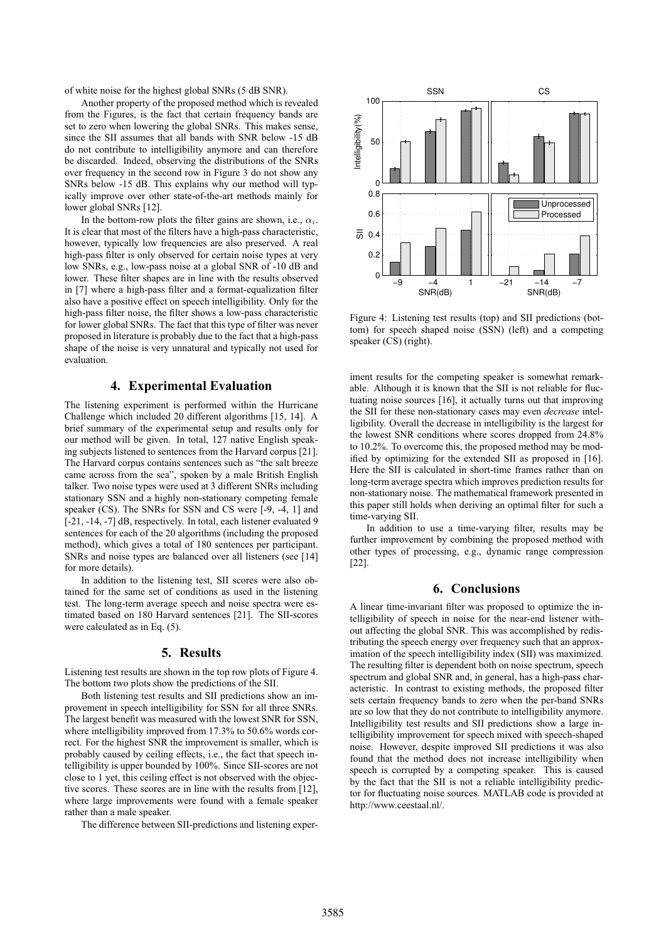of white noise for the highest global SNRs (5 dB SNR).

Another property of the proposed method which is revealed from the Figures, is the fact that certain frequency bands are set to zero when lowering the global SNRs. This makes sense, since the SII assumes that all bands with SNR below -15 dB do not contribute to intelligibility anymore and can therefore be discarded. Indeed, observing the distributions of the SNRs over frequency in the second row in Figure 3 do not show any SNRs below -15 dB. This explains why our method will typically improve over other state-of-the-art methods mainly for lower global SNRs [12].

In the bottom-row plots the filter gains are shown, i.e.,  $\alpha_i$ . It is clear that most of the filters have a high-pass characteristic, however, typically low frequencies are also preserved. A real high-pass filter is only observed for certain noise types at very low SNRs, e.g., low-pass noise at a global SNR of -10 dB and lower. These filter shapes are in line with the results observed in [7] where a high-pass filter and a format-equalization filter also have a positive effect on speech intelligibility. Only for the high-pass filter noise, the filter shows a low-pass characteristic for lower global SNRs. The fact that this type of filter was never proposed in literature is probably due to the fact that a high-pass shape of the noise is very unnatural and typically not used for evaluation.

## **4. Experimental Evaluation**

The listening experiment is performed within the Hurricane Challenge which included 20 different algorithms [15, 14]. A brief summary of the experimental setup and results only for our method will be given. In total, 127 native English speaking subjects listened to sentences from the Harvard corpus [21]. The Harvard corpus contains sentences such as "the salt breeze came across from the sea", spoken by a male British English talker. Two noise types were used at 3 different SNRs including stationary SSN and a highly non-stationary competing female speaker (CS). The SNRs for SSN and CS were [-9, -4, 1] and [-21, -14, -7] dB, respectively. In total, each listener evaluated 9 sentences for each of the 20 algorithms (including the proposed method), which gives a total of 180 sentences per participant. SNRs and noise types are balanced over all listeners (see [14] for more details).

In addition to the listening test, SII scores were also obtained for the same set of conditions as used in the listening test. The long-term average speech and noise spectra were estimated based on 180 Harvard sentences [21]. The SII-scores were calculated as in Eq. (5).

#### **5. Results**

Listening test results are shown in the top row plots of Figure 4. The bottom two plots show the predictions of the SII.

Both listening test results and SII predictions show an improvement in speech intelligibility for SSN for all three SNRs. The largest benefit was measured with the lowest SNR for SSN, where intelligibility improved from 17.3% to 50.6% words correct. For the highest SNR the improvement is smaller, which is probably caused by ceiling effects, i.e., the fact that speech intelligibility is upper bounded by 100%. Since SII-scores are not close to 1 yet, this ceiling effect is not observed with the objective scores. These scores are in line with the results from [12], where large improvements were found with a female speaker rather than a male speaker.

The difference between SII-predictions and listening exper-



Figure 4: Listening test results (top) and SII predictions (bottom) for speech shaped noise (SSN) (left) and a competing speaker (CS) (right).

iment results for the competing speaker is somewhat remarkable. Although it is known that the SII is not reliable for fluctuating noise sources [16], it actually turns out that improving the SII for these non-stationary cases may even *decrease* intelligibility. Overall the decrease in intelligibility is the largest for the lowest SNR conditions where scores dropped from 24.8% to 10.2%. To overcome this, the proposed method may be modified by optimizing for the extended SII as proposed in [16]. Here the SII is calculated in short-time frames rather than on long-term average spectra which improves prediction results for non-stationary noise. The mathematical framework presented in this paper still holds when deriving an optimal filter for such a time-varying SII.

In addition to use a time-varying filter, results may be further improvement by combining the proposed method with other types of processing, e.g., dynamic range compression [22].

# **6. Conclusions**

A linear time-invariant filter was proposed to optimize the intelligibility of speech in noise for the near-end listener without affecting the global SNR. This was accomplished by redistributing the speech energy over frequency such that an approximation of the speech intelligibility index (SII) was maximized. The resulting filter is dependent both on noise spectrum, speech spectrum and global SNR and, in general, has a high-pass characteristic. In contrast to existing methods, the proposed filter sets certain frequency bands to zero when the per-band SNRs are so low that they do not contribute to intelligibility anymore. Intelligibility test results and SII predictions show a large intelligibility improvement for speech mixed with speech-shaped noise. However, despite improved SII predictions it was also found that the method does not increase intelligibility when speech is corrupted by a competing speaker. This is caused by the fact that the SII is not a reliable intelligibility predictor for fluctuating noise sources. MATLAB code is provided at http://www.ceestaal.nl/.